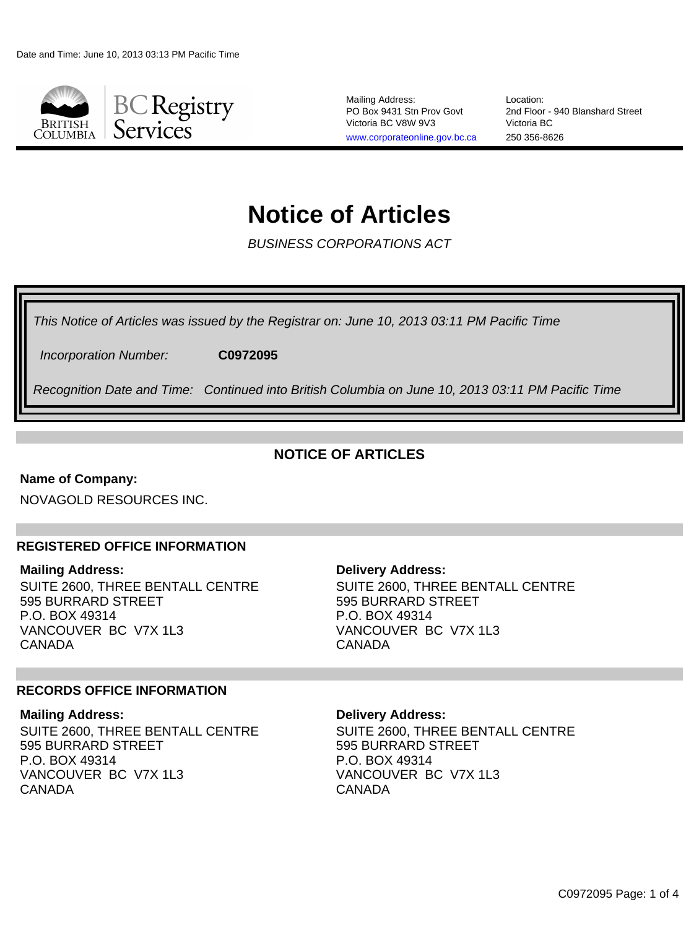

Mailing Address: PO Box 9431 Stn Prov Govt Victoria BC V8W 9V3 [www.corporateonline.gov.bc.ca](http://www.corporateonline.gov.bc.ca)

Location: 2nd Floor - 940 Blanshard Street Victoria BC 250 356-8626

# **Notice of Articles**

BUSINESS CORPORATIONS ACT

This Notice of Articles was issued by the Registrar on: June 10, 2013 03:11 PM Pacific Time

Incorporation Number: **C0972095**

Recognition Date and Time: Continued into British Columbia on June 10, 2013 03:11 PM Pacific Time

### **NOTICE OF ARTICLES**

#### **Name of Company:**

NOVAGOLD RESOURCES INC.

#### **REGISTERED OFFICE INFORMATION**

#### **Mailing Address:**

SUITE 2600, THREE BENTALL CENTRE 595 BURRARD STREET P.O. BOX 49314 VANCOUVER BC V7X 1L3 CANADA

#### **Delivery Address:** SUITE 2600, THREE BENTALL CENTRE 595 BURRARD STREET P.O. BOX 49314

VANCOUVER BC V7X 1L3

#### **RECORDS OFFICE INFORMATION**

#### **Mailing Address:**

SUITE 2600, THREE BENTALL CENTRE 595 BURRARD STREET P.O. BOX 49314 VANCOUVER BC V7X 1L3 CANADA

#### **Delivery Address:**

CANADA

SUITE 2600, THREE BENTALL CENTRE 595 BURRARD STREET P.O. BOX 49314 VANCOUVER BC V7X 1L3 CANADA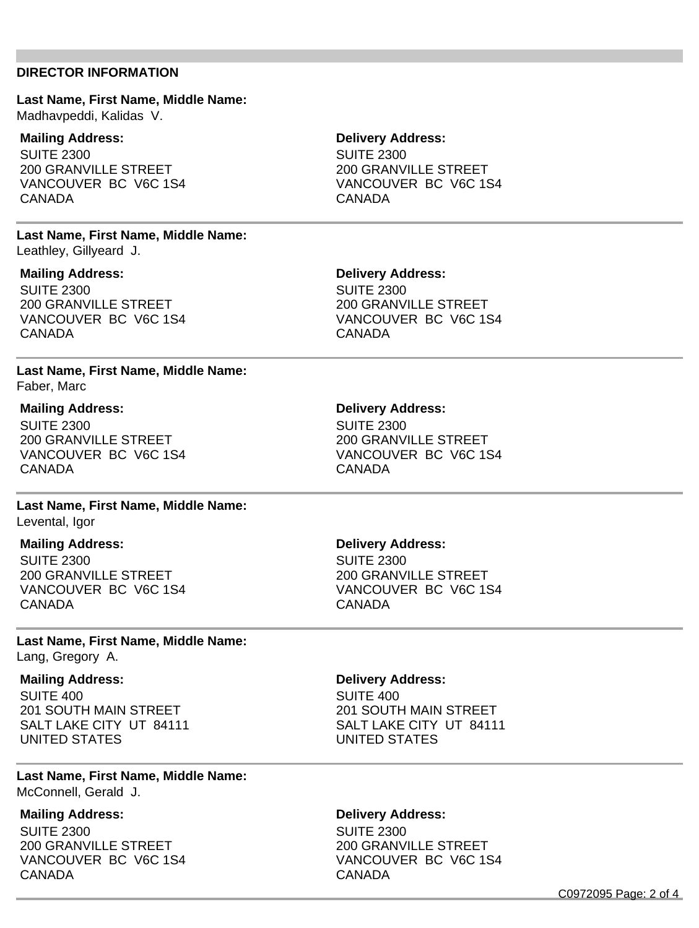#### **DIRECTOR INFORMATION**

#### **Last Name, First Name, Middle Name:** Madhavpeddi, Kalidas V.

#### **Mailing Address:**

SUITE 2300 200 GRANVILLE STREET VANCOUVER BC V6C 1S4 CANADA

#### **Last Name, First Name, Middle Name:** Leathley, Gillyeard J.

#### **Mailing Address:**

SUITE 2300 200 GRANVILLE STREET VANCOUVER BC V6C 1S4 CANADA

#### **Last Name, First Name, Middle Name:** Faber, Marc

#### **Mailing Address:**

SUITE 2300 200 GRANVILLE STREET VANCOUVER BC V6C 1S4 CANADA

# **Last Name, First Name, Middle Name:**

Levental, Igor

#### **Mailing Address:**

SUITE 2300 200 GRANVILLE STREET VANCOUVER BC V6C 1S4 CANADA

#### **Last Name, First Name, Middle Name:** Lang, Gregory A.

**Mailing Address:** SUITE 400 201 SOUTH MAIN STREET SALT LAKE CITY UT 84111 UNITED STATES

#### **Last Name, First Name, Middle Name:** McConnell, Gerald J.

#### **Mailing Address:**

SUITE 2300 200 GRANVILLE STREET VANCOUVER BC V6C 1S4 CANADA

#### **Delivery Address:**

SUITE 2300 200 GRANVILLE STREET VANCOUVER BC V6C 1S4 CANADA

#### **Delivery Address:**

SUITE 2300 200 GRANVILLE STREET VANCOUVER BC V6C 1S4 CANADA

#### **Delivery Address:**

SUITE 2300 200 GRANVILLE STREET VANCOUVER BC V6C 1S4 CANADA

#### **Delivery Address:**

SUITE 2300 200 GRANVILLE STREET VANCOUVER BC V6C 1S4 CANADA

#### **Delivery Address:**

SUITE 400 201 SOUTH MAIN STREET SALT LAKE CITY UT 84111 UNITED STATES

#### **Delivery Address:**

SUITE 2300 200 GRANVILLE STREET VANCOUVER BC V6C 1S4 CANADA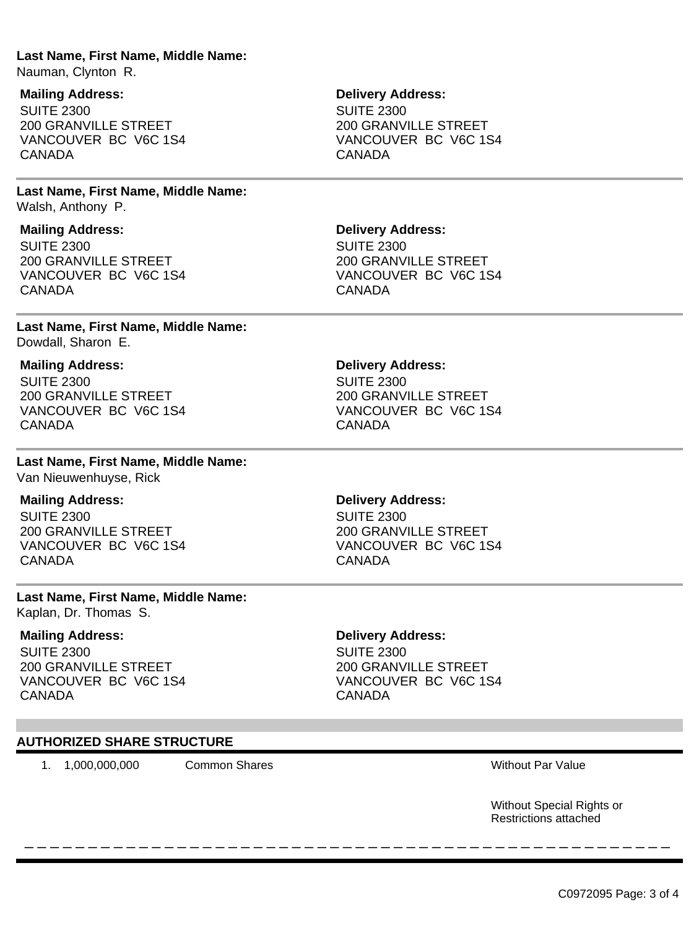#### **Last Name, First Name, Middle Name:**

Nauman, Clynton R.

#### **Mailing Address:**

SUITE 2300 200 GRANVILLE STREET VANCOUVER BC V6C 1S4 CANADA

#### **Last Name, First Name, Middle Name:** Walsh, Anthony P.

#### **Mailing Address:**

SUITE 2300 200 GRANVILLE STREET VANCOUVER BC V6C 1S4 CANADA

#### **Last Name, First Name, Middle Name:** Dowdall, Sharon E.

#### **Mailing Address:**

SUITE 2300 200 GRANVILLE STREET VANCOUVER BC V6C 1S4 CANADA

#### **Last Name, First Name, Middle Name:** Van Nieuwenhuyse, Rick

## **Mailing Address:**

SUITE 2300 200 GRANVILLE STREET VANCOUVER BC V6C 1S4 CANADA

#### **Last Name, First Name, Middle Name:** Kaplan, Dr. Thomas S.

#### **Mailing Address:**

SUITE 2300 200 GRANVILLE STREET VANCOUVER BC V6C 1S4 CANADA

#### **Delivery Address:**

SUITE 2300 200 GRANVILLE STREET VANCOUVER BC V6C 1S4 CANADA

# **Delivery Address:** SUITE 2300 200 GRANVILLE STREET

VANCOUVER BC V6C 1S4 CANADA

#### **Delivery Address:** SUITE 2300 200 GRANVILLE STREET VANCOUVER BC V6C 1S4 CANADA

#### **Delivery Address:**

SUITE 2300 200 GRANVILLE STREET VANCOUVER BC V6C 1S4 CANADA

#### **Delivery Address:**

\_ \_ \_ \_ \_ \_ \_ \_ \_ \_ \_ \_ \_ \_ \_ \_ \_ \_ \_ \_ \_ \_ \_ \_ \_ \_ \_ \_ \_ \_ \_ \_ \_ \_ \_ \_ \_ \_ \_ \_ \_ \_ \_ \_ \_ \_ \_ \_ \_ \_ \_

SUITE 2300 200 GRANVILLE STREET VANCOUVER BC V6C 1S4 CANADA

#### **AUTHORIZED SHARE STRUCTURE**

1. 1,000,000,000 Common Shares Without Par Value

Without Special Rights or Restrictions attached